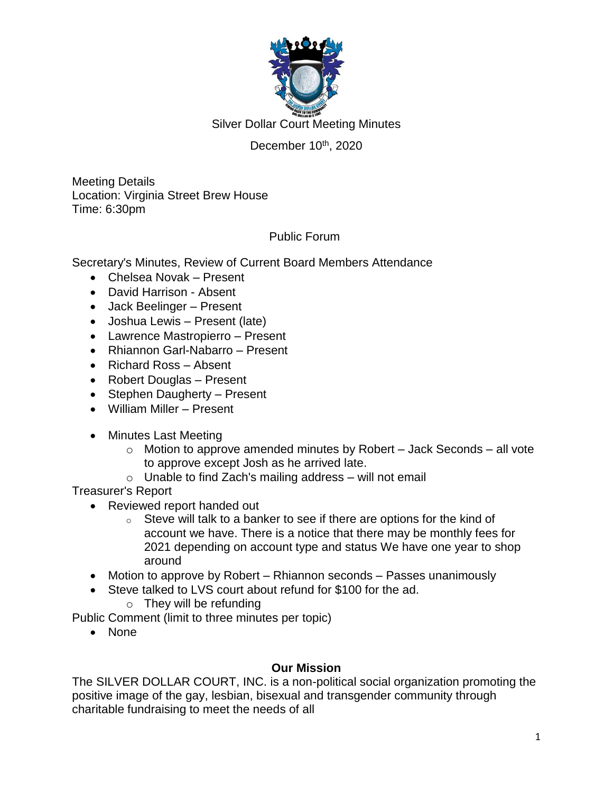

Silver Dollar Court Meeting Minutes

# December 10<sup>th</sup>, 2020

Meeting Details Location: Virginia Street Brew House Time: 6:30pm

## Public Forum

Secretary's Minutes, Review of Current Board Members Attendance

- Chelsea Novak Present
- David Harrison Absent
- Jack Beelinger Present
- Joshua Lewis Present (late)
- Lawrence Mastropierro Present
- Rhiannon Garl-Nabarro Present
- Richard Ross Absent
- Robert Douglas Present
- Stephen Daugherty Present
- William Miller Present
- Minutes Last Meeting
	- $\circ$  Motion to approve amended minutes by Robert Jack Seconds all vote to approve except Josh as he arrived late.
	- $\circ$  Unable to find Zach's mailing address will not email

Treasurer's Report

- Reviewed report handed out
	- $\circ$  Steve will talk to a banker to see if there are options for the kind of account we have. There is a notice that there may be monthly fees for 2021 depending on account type and status We have one year to shop around
- Motion to approve by Robert Rhiannon seconds Passes unanimously
- Steve talked to LVS court about refund for \$100 for the ad.
	- $\circ$  They will be refunding

Public Comment (limit to three minutes per topic)

None

### **Our Mission**

The SILVER DOLLAR COURT, INC. is a non-political social organization promoting the positive image of the gay, lesbian, bisexual and transgender community through charitable fundraising to meet the needs of all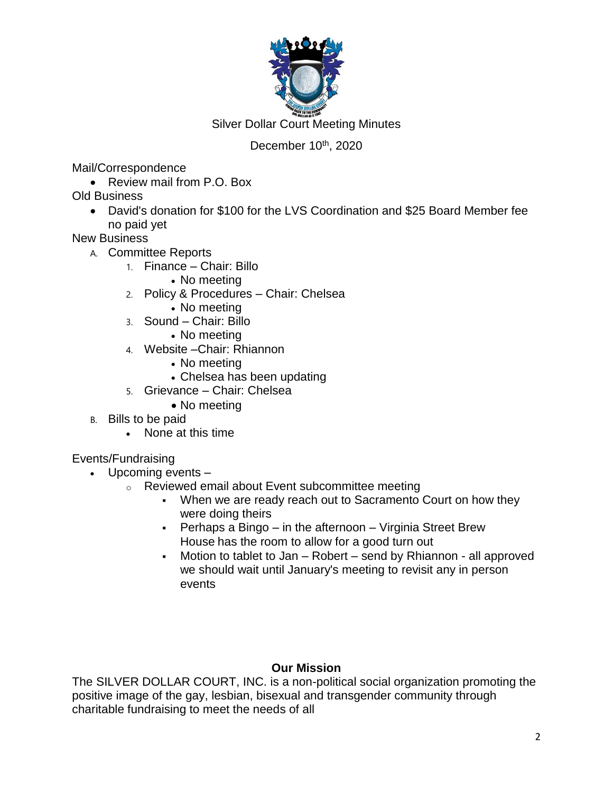

Silver Dollar Court Meeting Minutes

# December 10<sup>th</sup>, 2020

Mail/Correspondence

• Review mail from P.O. Box

Old Business

 David's donation for \$100 for the LVS Coordination and \$25 Board Member fee no paid yet

New Business

- A. Committee Reports
	- 1. Finance Chair: Billo
		- No meeting
	- 2. Policy & Procedures Chair: Chelsea
		- No meeting
	- 3. Sound Chair: Billo
		- No meeting
	- 4. Website –Chair: Rhiannon
		- No meeting
		- Chelsea has been updating
	- 5. Grievance Chair: Chelsea
		- No meeting
- B. Bills to be paid
	- None at this time

### Events/Fundraising

- Upcoming events
	- o Reviewed email about Event subcommittee meeting
		- When we are ready reach out to Sacramento Court on how they were doing theirs
		- Perhaps a Bingo in the afternoon Virginia Street Brew House has the room to allow for a good turn out
		- Motion to tablet to Jan Robert send by Rhiannon all approved we should wait until January's meeting to revisit any in person events

## **Our Mission**

The SILVER DOLLAR COURT, INC. is a non-political social organization promoting the positive image of the gay, lesbian, bisexual and transgender community through charitable fundraising to meet the needs of all